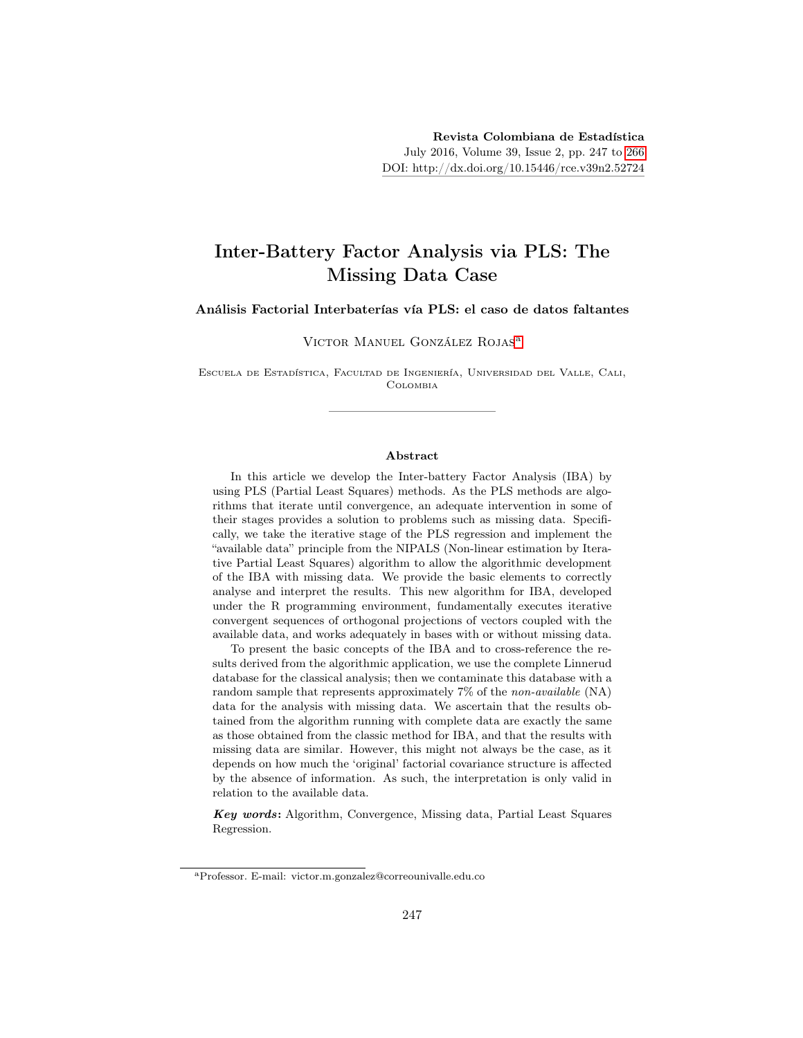# Inter-Battery Factor Analysis via PLS: The Missing Data Case

Análisis Factorial Interbaterías vía PLS: el caso de datos faltantes

Victor Manuel González Rojas[a](#page-0-0)

Escuela de Estadística, Facultad de Ingeniería, Universidad del Valle, Cali, Colombia

#### Abstract

In this article we develop the Inter-battery Factor Analysis (IBA) by using PLS (Partial Least Squares) methods. As the PLS methods are algorithms that iterate until convergence, an adequate intervention in some of their stages provides a solution to problems such as missing data. Specifically, we take the iterative stage of the PLS regression and implement the "available data" principle from the NIPALS (Non-linear estimation by Iterative Partial Least Squares) algorithm to allow the algorithmic development of the IBA with missing data. We provide the basic elements to correctly analyse and interpret the results. This new algorithm for IBA, developed under the R programming environment, fundamentally executes iterative convergent sequences of orthogonal projections of vectors coupled with the available data, and works adequately in bases with or without missing data.

To present the basic concepts of the IBA and to cross-reference the results derived from the algorithmic application, we use the complete Linnerud database for the classical analysis; then we contaminate this database with a random sample that represents approximately 7% of the non-available (NA) data for the analysis with missing data. We ascertain that the results obtained from the algorithm running with complete data are exactly the same as those obtained from the classic method for IBA, and that the results with missing data are similar. However, this might not always be the case, as it depends on how much the 'original' factorial covariance structure is affected by the absence of information. As such, the interpretation is only valid in relation to the available data.

Key words: Algorithm, Convergence, Missing data, Partial Least Squares Regression.

<span id="page-0-0"></span><sup>a</sup>Professor. E-mail: victor.m.gonzalez@correounivalle.edu.co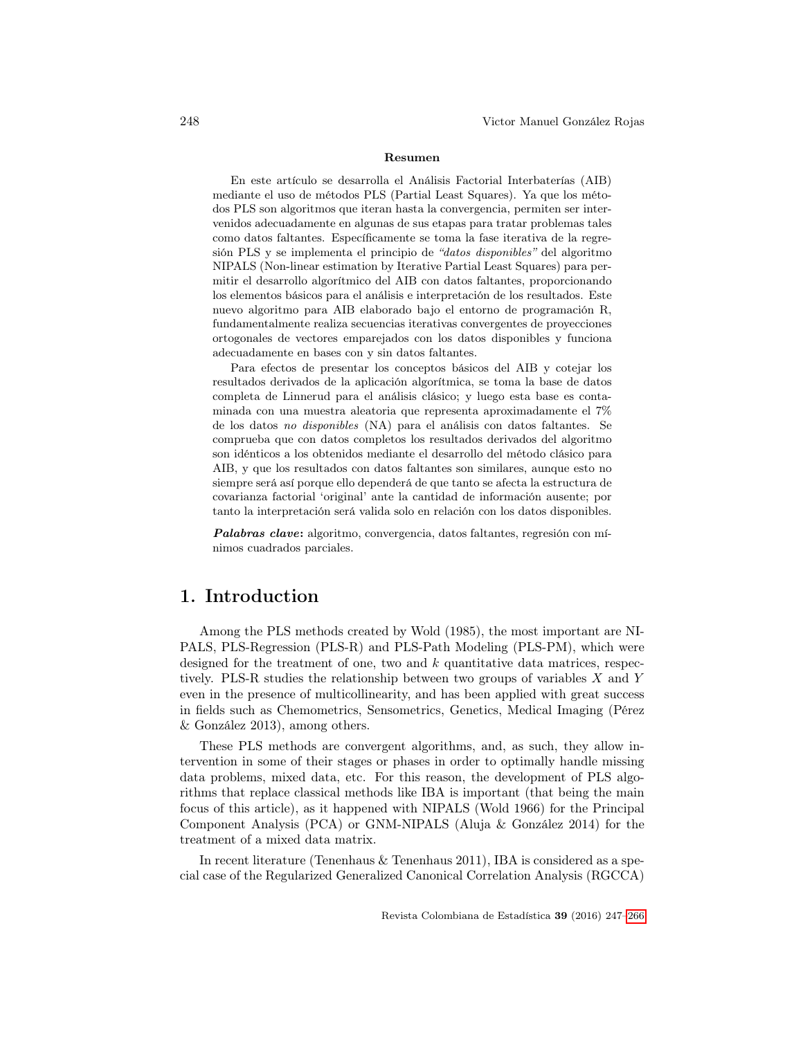#### Resumen

En este artículo se desarrolla el Análisis Factorial Interbaterías (AIB) mediante el uso de métodos PLS (Partial Least Squares). Ya que los métodos PLS son algoritmos que iteran hasta la convergencia, permiten ser intervenidos adecuadamente en algunas de sus etapas para tratar problemas tales como datos faltantes. Específicamente se toma la fase iterativa de la regresión PLS y se implementa el principio de "datos disponibles" del algoritmo NIPALS (Non-linear estimation by Iterative Partial Least Squares) para permitir el desarrollo algorítmico del AIB con datos faltantes, proporcionando los elementos básicos para el análisis e interpretación de los resultados. Este nuevo algoritmo para AIB elaborado bajo el entorno de programación R, fundamentalmente realiza secuencias iterativas convergentes de proyecciones ortogonales de vectores emparejados con los datos disponibles y funciona adecuadamente en bases con y sin datos faltantes.

Para efectos de presentar los conceptos básicos del AIB y cotejar los resultados derivados de la aplicación algorítmica, se toma la base de datos completa de Linnerud para el análisis clásico; y luego esta base es contaminada con una muestra aleatoria que representa aproximadamente el 7% de los datos no disponibles (NA) para el análisis con datos faltantes. Se comprueba que con datos completos los resultados derivados del algoritmo son idénticos a los obtenidos mediante el desarrollo del método clásico para AIB, y que los resultados con datos faltantes son similares, aunque esto no siempre será así porque ello dependerá de que tanto se afecta la estructura de covarianza factorial 'original' ante la cantidad de información ausente; por tanto la interpretación será valida solo en relación con los datos disponibles.

Palabras clave: algoritmo, convergencia, datos faltantes, regresión con mínimos cuadrados parciales.

## 1. Introduction

Among the PLS methods created by Wold (1985), the most important are NI-PALS, PLS-Regression (PLS-R) and PLS-Path Modeling (PLS-PM), which were designed for the treatment of one, two and  $k$  quantitative data matrices, respectively. PLS-R studies the relationship between two groups of variables X and Y even in the presence of multicollinearity, and has been applied with great success in fields such as Chemometrics, Sensometrics, Genetics, Medical Imaging (Pérez & González 2013), among others.

These PLS methods are convergent algorithms, and, as such, they allow intervention in some of their stages or phases in order to optimally handle missing data problems, mixed data, etc. For this reason, the development of PLS algorithms that replace classical methods like IBA is important (that being the main focus of this article), as it happened with NIPALS (Wold 1966) for the Principal Component Analysis (PCA) or GNM-NIPALS (Aluja & González 2014) for the treatment of a mixed data matrix.

In recent literature (Tenenhaus  $\&$  Tenenhaus 2011), IBA is considered as a special case of the Regularized Generalized Canonical Correlation Analysis (RGCCA)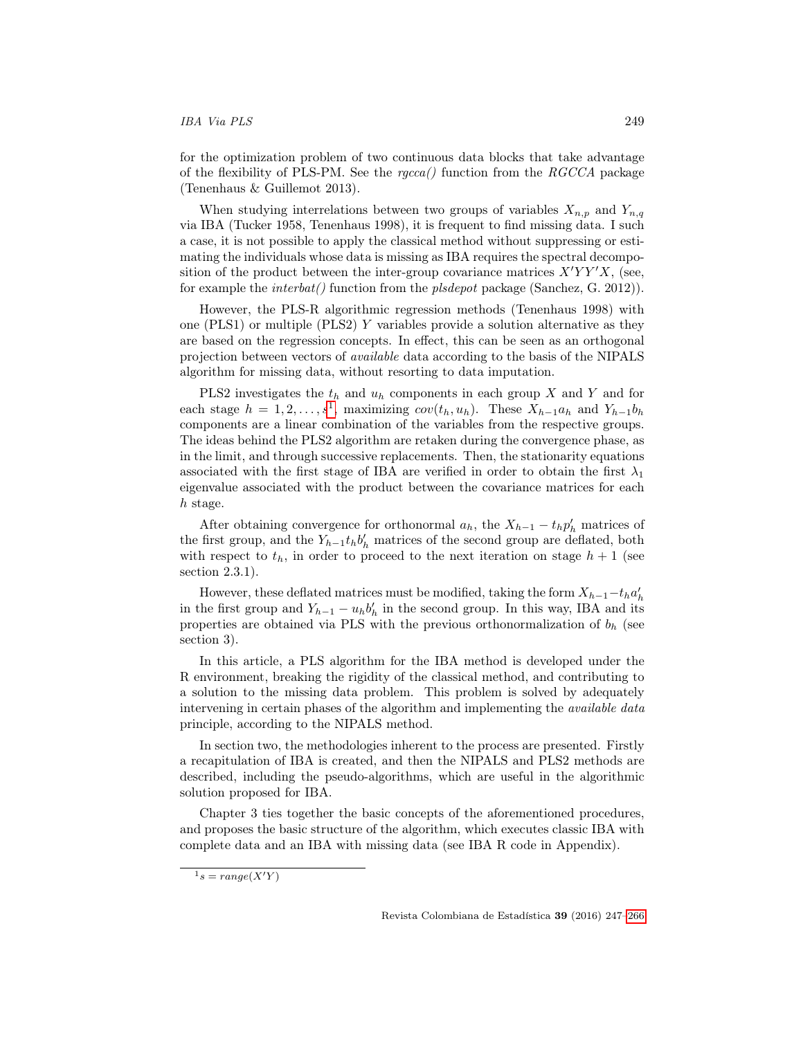#### IBA Via PLS 249

for the optimization problem of two continuous data blocks that take advantage of the flexibility of PLS-PM. See the  $r_{\text{g}}$  function from the RGCCA package (Tenenhaus & Guillemot 2013).

When studying interrelations between two groups of variables  $X_{n,p}$  and  $Y_{n,q}$ via IBA (Tucker 1958, Tenenhaus 1998), it is frequent to find missing data. I such a case, it is not possible to apply the classical method without suppressing or estimating the individuals whose data is missing as IBA requires the spectral decomposition of the product between the inter-group covariance matrices  $X'YY'X$ , (see, for example the *interbat()* function from the *plsdepot* package (Sanchez, G. 2012)).

However, the PLS-R algorithmic regression methods (Tenenhaus 1998) with one (PLS1) or multiple (PLS2) Y variables provide a solution alternative as they are based on the regression concepts. In effect, this can be seen as an orthogonal projection between vectors of available data according to the basis of the NIPALS algorithm for missing data, without resorting to data imputation.

PLS2 investigates the  $t_h$  and  $u_h$  components in each group X and Y and for each stage  $h = 1, 2, ..., s<sup>1</sup>$  $h = 1, 2, ..., s<sup>1</sup>$  $h = 1, 2, ..., s<sup>1</sup>$ , maximizing  $cov(t_h, u_h)$ . These  $X_{h-1}a_h$  and  $Y_{h-1}b_h$ components are a linear combination of the variables from the respective groups. The ideas behind the PLS2 algorithm are retaken during the convergence phase, as in the limit, and through successive replacements. Then, the stationarity equations associated with the first stage of IBA are verified in order to obtain the first  $\lambda_1$ eigenvalue associated with the product between the covariance matrices for each h stage.

After obtaining convergence for orthonormal  $a_h$ , the  $X_{h-1} - t_h p'_h$  matrices of the first group, and the  $Y_{h-1}t_h b'_h$  matrices of the second group are deflated, both with respect to  $t<sub>h</sub>$ , in order to proceed to the next iteration on stage  $h+1$  (see section 2.3.1).

However, these deflated matrices must be modified, taking the form  $X_{h-1} - t_h a'_{h}$ in the first group and  $Y_{h-1} - u_h b'_h$  in the second group. In this way, IBA and its properties are obtained via PLS with the previous orthonormalization of  $b<sub>h</sub>$  (see section 3).

In this article, a PLS algorithm for the IBA method is developed under the R environment, breaking the rigidity of the classical method, and contributing to a solution to the missing data problem. This problem is solved by adequately intervening in certain phases of the algorithm and implementing the *available data* principle, according to the NIPALS method.

In section two, the methodologies inherent to the process are presented. Firstly a recapitulation of IBA is created, and then the NIPALS and PLS2 methods are described, including the pseudo-algorithms, which are useful in the algorithmic solution proposed for IBA.

Chapter 3 ties together the basic concepts of the aforementioned procedures, and proposes the basic structure of the algorithm, which executes classic IBA with complete data and an IBA with missing data (see IBA R code in Appendix).

<span id="page-2-0"></span> $1<sup>1</sup> s = \text{range}(X'Y)$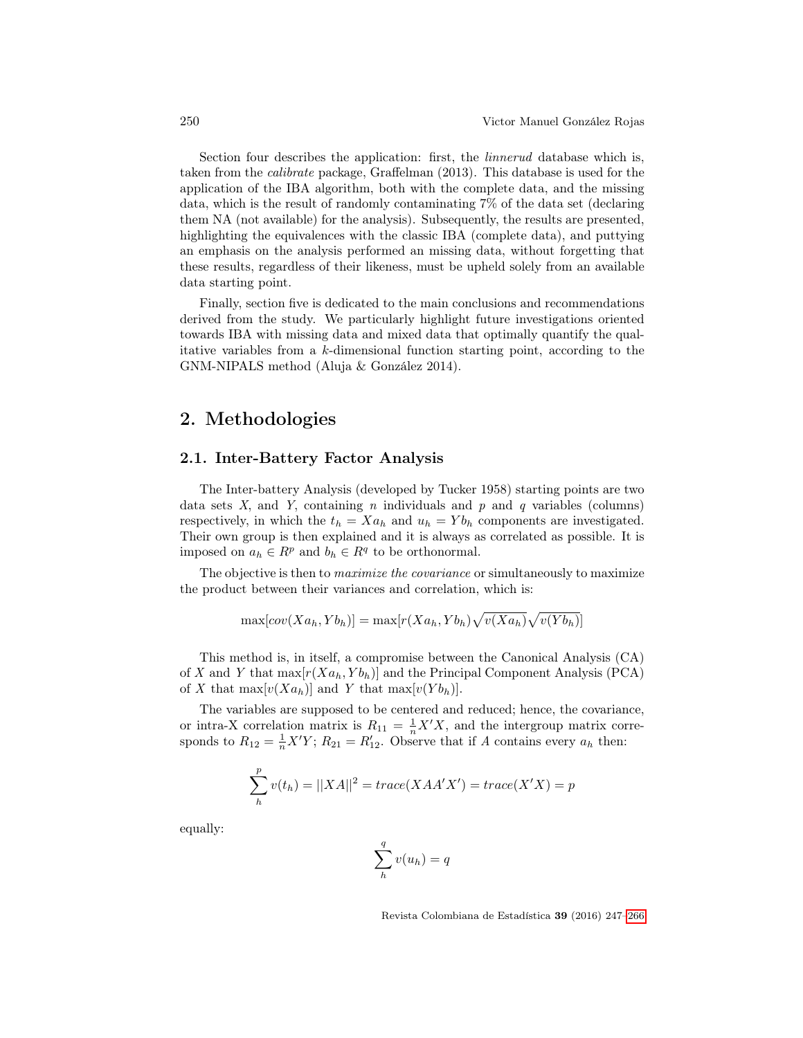Section four describes the application: first, the linnerud database which is, taken from the calibrate package, Graffelman (2013). This database is used for the application of the IBA algorithm, both with the complete data, and the missing data, which is the result of randomly contaminating 7% of the data set (declaring them NA (not available) for the analysis). Subsequently, the results are presented, highlighting the equivalences with the classic IBA (complete data), and puttying an emphasis on the analysis performed an missing data, without forgetting that these results, regardless of their likeness, must be upheld solely from an available data starting point.

Finally, section five is dedicated to the main conclusions and recommendations derived from the study. We particularly highlight future investigations oriented towards IBA with missing data and mixed data that optimally quantify the qualitative variables from a k-dimensional function starting point, according to the GNM-NIPALS method (Aluja & González 2014).

## 2. Methodologies

## 2.1. Inter-Battery Factor Analysis

The Inter-battery Analysis (developed by Tucker 1958) starting points are two data sets  $X$ , and  $Y$ , containing  $n$  individuals and  $p$  and  $q$  variables (columns) respectively, in which the  $t_h = X a_h$  and  $u_h = Y b_h$  components are investigated. Their own group is then explained and it is always as correlated as possible. It is imposed on  $a_h \in R^p$  and  $b_h \in R^q$  to be orthonormal.

The objective is then to *maximize the covariance* or simultaneously to maximize the product between their variances and correlation, which is:

$$
\max[cov(Xa_h, Yb_h)] = \max[r(Xa_h, Yb_h)\sqrt{v(Xa_h)}\sqrt{v(Yb_h)}]
$$

This method is, in itself, a compromise between the Canonical Analysis (CA) of X and Y that  $\max[r(Xa_h, Yb_h)]$  and the Principal Component Analysis (PCA) of X that  $\max[v(Xa_h)]$  and Y that  $\max[v(Yb_h)]$ .

The variables are supposed to be centered and reduced; hence, the covariance, or intra-X correlation matrix is  $R_{11} = \frac{1}{n}X'X$ , and the intergroup matrix corresponds to  $R_{12} = \frac{1}{n}X'Y$ ;  $R_{21} = R'_{12}$ . Observe that if A contains every  $a_h$  then:

$$
\sum_{h}^{p} v(t_h) = ||XA||^2 = trace(XAA'X') = trace(X'X) = p
$$

equally:

$$
\sum_{h}^{q} v(u_h) = q
$$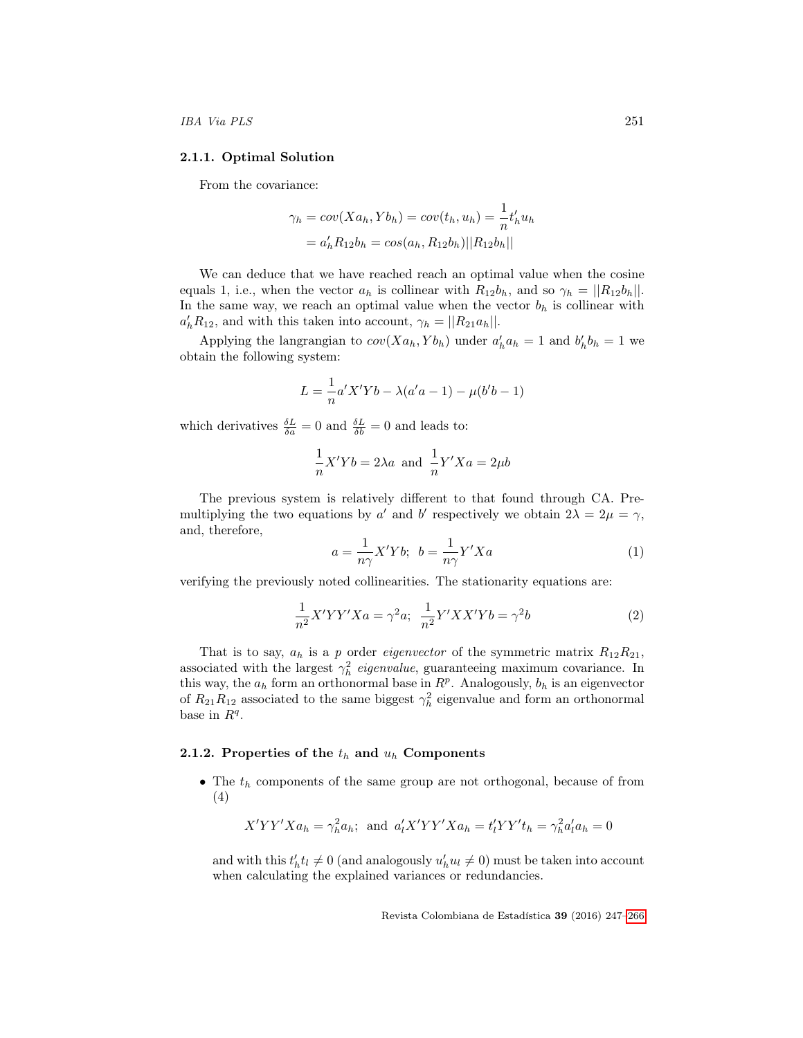### 2.1.1. Optimal Solution

From the covariance:

$$
\gamma_h = cov(Xa_h, Yb_h) = cov(t_h, u_h) = \frac{1}{n}t'_h u_h
$$
  
=  $a'_h R_{12} b_h = cos(a_h, R_{12} b_h) ||R_{12} b_h||$ 

We can deduce that we have reached reach an optimal value when the cosine equals 1, i.e., when the vector  $a_h$  is collinear with  $R_{12}b_h$ , and so  $\gamma_h = ||R_{12}b_h||$ . In the same way, we reach an optimal value when the vector  $b<sub>h</sub>$  is collinear with  $a'_h R_{12}$ , and with this taken into account,  $\gamma_h = ||R_{21} a_h||$ .

Applying the langrangian to  $cov(Xa_h, Yb_h)$  under  $a'_ha_h = 1$  and  $b'_h b_h = 1$  we obtain the following system:

$$
L = \frac{1}{n} a' X' Y b - \lambda (a' a - 1) - \mu (b' b - 1)
$$

which derivatives  $\frac{\delta L}{\delta a} = 0$  and  $\frac{\delta L}{\delta b} = 0$  and leads to:

$$
\frac{1}{n}X'Yb = 2\lambda a \text{ and } \frac{1}{n}Y'Xa = 2\mu b
$$

The previous system is relatively different to that found through CA. Premultiplying the two equations by a' and b' respectively we obtain  $2\lambda = 2\mu = \gamma$ , and, therefore,

$$
a = \frac{1}{n\gamma} X' Y b; \ b = \frac{1}{n\gamma} Y' X a \tag{1}
$$

verifying the previously noted collinearities. The stationarity equations are:

$$
\frac{1}{n^2}X'YY'Xa = \gamma^2 a; \quad \frac{1}{n^2}Y'XX'Yb = \gamma^2 b \tag{2}
$$

That is to say,  $a_h$  is a p order *eigenvector* of the symmetric matrix  $R_{12}R_{21}$ , associated with the largest  $\gamma_h^2$  eigenvalue, guaranteeing maximum covariance. In this way, the  $a_h$  form an orthonormal base in  $R^p$ . Analogously,  $b_h$  is an eigenvector of  $R_{21}R_{12}$  associated to the same biggest  $\gamma_h^2$  eigenvalue and form an orthonormal base in  $R^q$ .

#### 2.1.2. Properties of the  $t_h$  and  $u_h$  Components

• The  $t_h$  components of the same group are not orthogonal, because of from (4)

$$
X'YY'Xa_h = \gamma_h^2 a_h; \text{ and } a'_l X'YY'Xa_h = t'_l YY't_h = \gamma_h^2 a'_l a_h = 0
$$

and with this  $t'_h t_l \neq 0$  (and analogously  $u'_h u_l \neq 0$ ) must be taken into account when calculating the explained variances or redundancies.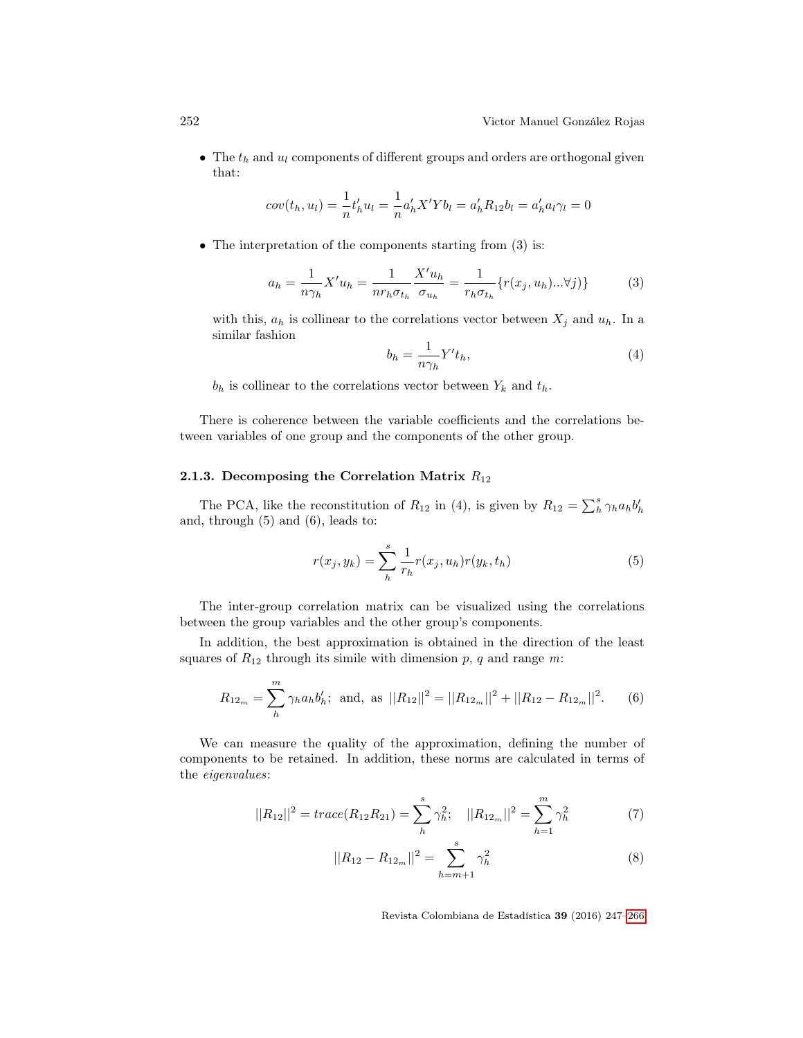• The  $t_h$  and  $u_l$  components of different groups and orders are orthogonal given that:

$$
cov(t_h, u_l) = \frac{1}{n} t'_h u_l = \frac{1}{n} a'_h X' Y b_l = a'_h R_{12} b_l = a'_h a_l \gamma_l = 0
$$

• The interpretation of the components starting from (3) is:

$$
a_h = \frac{1}{n\gamma_h} X' u_h = \frac{1}{n r_h \sigma_{t_h}} \frac{X' u_h}{\sigma_{u_h}} = \frac{1}{r_h \sigma_{t_h}} \{r(x_j, u_h)...\forall j)\}
$$
(3)

with this,  $a_h$  is collinear to the correlations vector between  $X_j$  and  $u_h$ . In a similar fashion

$$
b_h = \frac{1}{n\gamma_h} Y' t_h,\tag{4}
$$

 $b_h$  is collinear to the correlations vector between  $Y_k$  and  $t_h$ .

There is coherence between the variable coefficients and the correlations between variables of one group and the components of the other group.

### 2.1.3. Decomposing the Correlation Matrix  $R_{12}$

The PCA, like the reconstitution of  $R_{12}$  in (4), is given by  $R_{12} = \sum_{h=1}^{s} \gamma_h a_h b_h'$ and, through (5) and (6), leads to:

$$
r(x_j, y_k) = \sum_{h}^{s} \frac{1}{r_h} r(x_j, u_h) r(y_k, t_h)
$$
\n(5)

The inter-group correlation matrix can be visualized using the correlations between the group variables and the other group's components.

In addition, the best approximation is obtained in the direction of the least squares of  $R_{12}$  through its simile with dimension p, q and range m:

$$
R_{12_m} = \sum_{h}^{m} \gamma_h a_h b_h'; \text{ and, as } ||R_{12}||^2 = ||R_{12_m}||^2 + ||R_{12} - R_{12_m}||^2. \qquad (6)
$$

We can measure the quality of the approximation, defining the number of components to be retained. In addition, these norms are calculated in terms of the eigenvalues:

$$
||R_{12}||^2 = trace(R_{12}R_{21}) = \sum_{h}^{s} \gamma_h^2; \quad ||R_{12_m}||^2 = \sum_{h=1}^{m} \gamma_h^2
$$
 (7)

$$
||R_{12} - R_{12_m}||^2 = \sum_{h=m+1}^{s} \gamma_h^2
$$
 (8)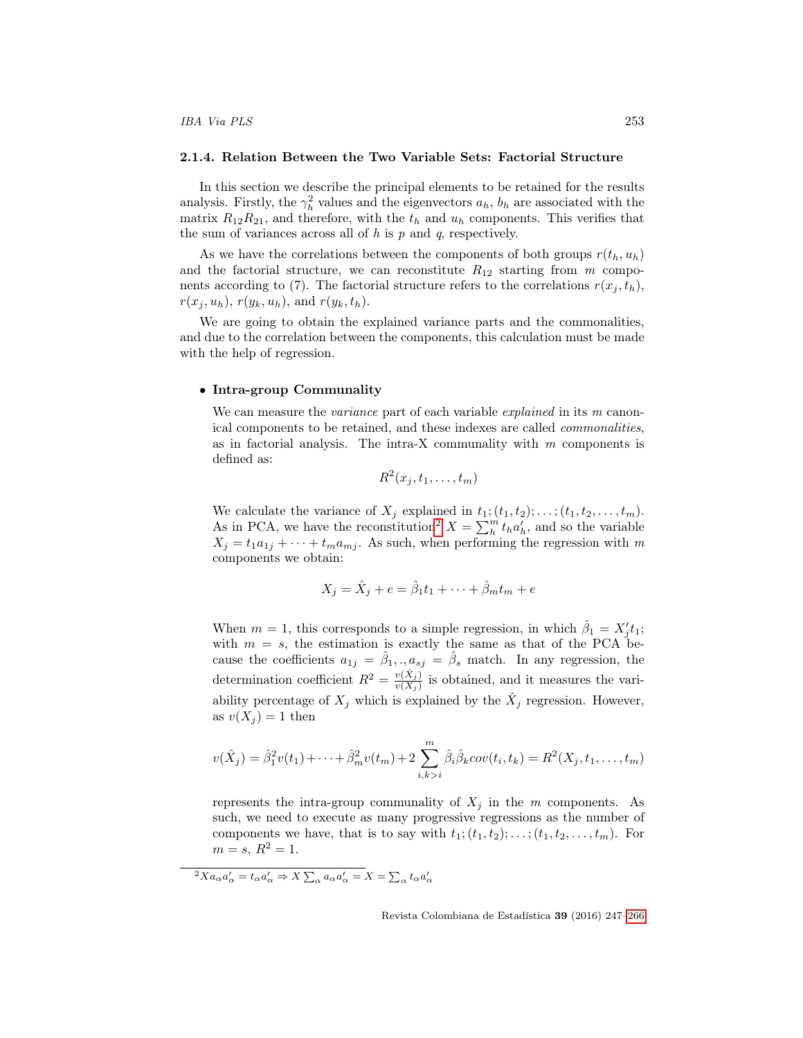#### 2.1.4. Relation Between the Two Variable Sets: Factorial Structure

In this section we describe the principal elements to be retained for the results analysis. Firstly, the  $\gamma_h^2$  values and the eigenvectors  $a_h$ ,  $b_h$  are associated with the matrix  $R_{12}R_{21}$ , and therefore, with the  $t_h$  and  $u_h$  components. This verifies that the sum of variances across all of  $h$  is  $p$  and  $q$ , respectively.

As we have the correlations between the components of both groups  $r(t_h, u_h)$ and the factorial structure, we can reconstitute  $R_{12}$  starting from m components according to (7). The factorial structure refers to the correlations  $r(x_i, t_h)$ ,  $r(x_j, u_h)$ ,  $r(y_k, u_h)$ , and  $r(y_k, t_h)$ .

We are going to obtain the explained variance parts and the commonalities, and due to the correlation between the components, this calculation must be made with the help of regression.

#### • Intra-group Communality

We can measure the *variance* part of each variable *explained* in its m canonical components to be retained, and these indexes are called commonalities, as in factorial analysis. The intra-X communality with  $m$  components is defined as:

$$
R^2(x_j,t_1,\ldots,t_m)
$$

We calculate the variance of  $X_j$  explained in  $t_1$ ;  $(t_1, t_2)$ ; ...;  $(t_1, t_2, \ldots, t_m)$ . As in PCA, we have the reconstitution<sup>[2](#page-6-0)</sup>  $X = \sum_{h}^{m} t_h a'_{h}$ , and so the variable  $X_i = t_1 a_{1i} + \cdots + t_m a_{mi}$ . As such, when performing the regression with m components we obtain:

$$
X_j = \hat{X}_j + e = \hat{\beta}_1 t_1 + \dots + \hat{\beta}_m t_m + e
$$

When  $m = 1$ , this corresponds to a simple regression, in which  $\hat{\beta}_1 = X'_j t_1$ ; with  $m = s$ , the estimation is exactly the same as that of the PCA because the coefficients  $a_{1j} = \hat{\beta}_1, \ldots, a_{sj} = \hat{\beta}_s$  match. In any regression, the determination coefficient  $R^2 = \frac{v(\hat{X}_j)}{v(X_i)}$  $\frac{v(X_j)}{v(X_j)}$  is obtained, and it measures the variability percentage of  $X_j$  which is explained by the  $\hat{X}_j$  regression. However, as  $v(X_i) = 1$  then

$$
v(\hat{X}_j) = \hat{\beta}_1^2 v(t_1) + \dots + \hat{\beta}_m^2 v(t_m) + 2 \sum_{i,k>i}^m \hat{\beta}_i \hat{\beta}_k cov(t_i, t_k) = R^2(X_j, t_1, \dots, t_m)
$$

represents the intra-group communality of  $X_i$  in the m components. As such, we need to execute as many progressive regressions as the number of components we have, that is to say with  $t_1$ ;  $(t_1, t_2)$ ; ...;  $(t_1, t_2, \ldots, t_m)$ . For  $m = s, R^2 = 1.$ 

<span id="page-6-0"></span> ${}^2Xa_{\alpha}a'_{\alpha} = t_{\alpha}a'_{\alpha} \Rightarrow X\sum_{\alpha}a_{\alpha}a'_{\alpha} = X = \sum_{\alpha}t_{\alpha}a'_{\alpha}$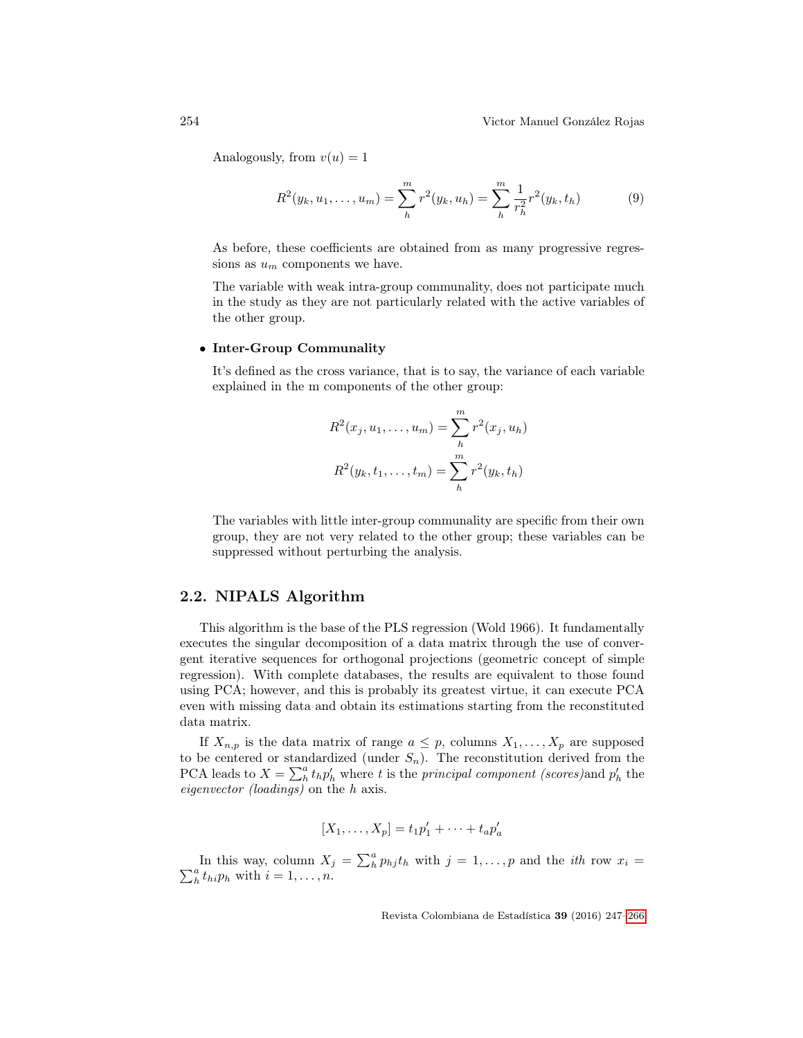Analogously, from  $v(u) = 1$ 

$$
R^{2}(y_{k}, u_{1}, \dots, u_{m}) = \sum_{h}^{m} r^{2}(y_{k}, u_{h}) = \sum_{h}^{m} \frac{1}{r_{h}^{2}} r^{2}(y_{k}, t_{h})
$$
(9)

As before, these coefficients are obtained from as many progressive regressions as  $u_m$  components we have.

The variable with weak intra-group communality, does not participate much in the study as they are not particularly related with the active variables of the other group.

### • Inter-Group Communality

It's defined as the cross variance, that is to say, the variance of each variable explained in the m components of the other group:

$$
R^{2}(x_{j}, u_{1}, \ldots, u_{m}) = \sum_{h}^{m} r^{2}(x_{j}, u_{h})
$$

$$
R^{2}(y_{k}, t_{1}, \ldots, t_{m}) = \sum_{h}^{m} r^{2}(y_{k}, t_{h})
$$

The variables with little inter-group communality are specific from their own group, they are not very related to the other group; these variables can be suppressed without perturbing the analysis.

### 2.2. NIPALS Algorithm

This algorithm is the base of the PLS regression (Wold 1966). It fundamentally executes the singular decomposition of a data matrix through the use of convergent iterative sequences for orthogonal projections (geometric concept of simple regression). With complete databases, the results are equivalent to those found using PCA; however, and this is probably its greatest virtue, it can execute PCA even with missing data and obtain its estimations starting from the reconstituted data matrix.

If  $X_{n,p}$  is the data matrix of range  $a \leq p$ , columns  $X_1, \ldots, X_p$  are supposed to be centered or standardized (under  $S_n$ ). The reconstitution derived from the PCA leads to  $X = \sum_{h}^{a} t_h p'_h$  where t is the principal component (scores) and  $p'_h$  the eigenvector (loadings) on the h axis.

$$
[X_1,\ldots,X_p]=t_1p'_1+\cdots+t_ap'_a
$$

In this way, column  $X_j = \sum_h^n p_{hj} t_h$  with  $j = 1, \ldots, p$  and the *ith* row  $x_i =$  $\sum_{h}^{a} t_{hi} p_h$  with  $i = 1, \ldots, n$ .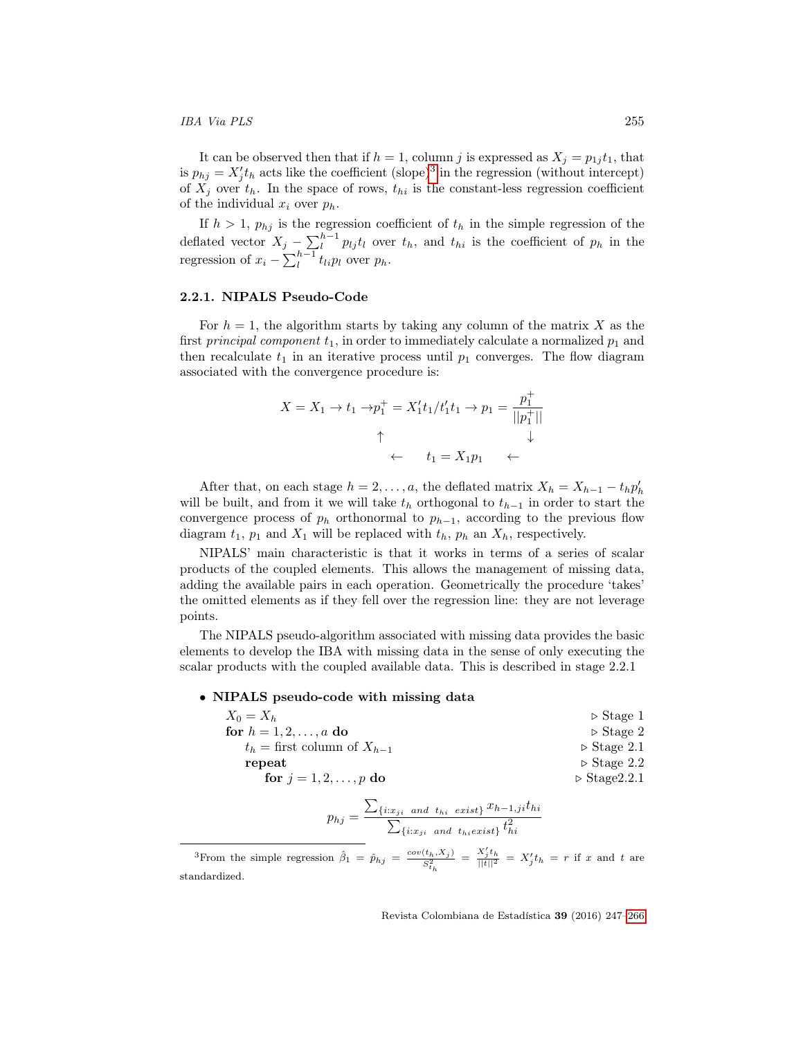#### IBA Via PLS 255

It can be observed then that if  $h = 1$ , column j is expressed as  $X_j = p_{1j} t_1$ , that is  $p_{hj} = X'_j t_h$  acts like the coefficient (slope)<sup>[3](#page-8-0)</sup> in the regression (without intercept) of  $X_j$  over  $t_h$ . In the space of rows,  $t_{hi}$  is the constant-less regression coefficient of the individual  $x_i$  over  $p_h$ .

If  $h > 1$ ,  $p_{hj}$  is the regression coefficient of  $t_h$  in the simple regression of the deflated vector  $X_j - \sum_{l}^{h-1} p_{lj} t_l$  over  $t_h$ , and  $t_{hi}$  is the coefficient of  $p_h$  in the regression of  $x_i - \sum_{l}^{h-1} t_{li} p_l$  over  $p_h$ .

#### 2.2.1. NIPALS Pseudo-Code

For  $h = 1$ , the algorithm starts by taking any column of the matrix X as the first principal component  $t_1$ , in order to immediately calculate a normalized  $p_1$  and then recalculate  $t_1$  in an iterative process until  $p_1$  converges. The flow diagram associated with the convergence procedure is:

$$
X = X_1 \to t_1 \to p_1^+ = X_1't_1/t_1't_1 \to p_1 = \frac{p_1^+}{||p_1^+||}
$$
  
 
$$
\uparrow \qquad \qquad \downarrow
$$
  
 
$$
\leftarrow \qquad t_1 = X_1p_1 \quad \leftarrow
$$

After that, on each stage  $h = 2, ..., a$ , the deflated matrix  $X_h = X_{h-1} - t_h p'_h$ will be built, and from it we will take  $t<sub>h</sub>$  orthogonal to  $t<sub>h-1</sub>$  in order to start the convergence process of  $p_h$  orthonormal to  $p_{h-1}$ , according to the previous flow diagram  $t_1$ ,  $p_1$  and  $X_1$  will be replaced with  $t_h$ ,  $p_h$  an  $X_h$ , respectively.

NIPALS' main characteristic is that it works in terms of a series of scalar products of the coupled elements. This allows the management of missing data, adding the available pairs in each operation. Geometrically the procedure 'takes' the omitted elements as if they fell over the regression line: they are not leverage points.

The NIPALS pseudo-algorithm associated with missing data provides the basic elements to develop the IBA with missing data in the sense of only executing the scalar products with the coupled available data. This is described in stage 2.2.1

• NIPALS pseudo-code with missing data

| $X_0 = X_h$                       | $\triangleright$ Stage 1     |
|-----------------------------------|------------------------------|
| for $h = 1, 2, , a$ do            | $\triangleright$ Stage 2     |
| $t_h =$ first column of $X_{h-1}$ | $\triangleright$ Stage 2.1   |
| repeat                            | $\triangleright$ Stage 2.2   |
| for $j = 1, 2, , p$ do            | $\triangleright$ Stage 2.2.1 |
|                                   |                              |

$$
p_{hj} = \frac{\sum_{\{i:x_{ji} \text{ and } t_{hi} \text{ exist}\}} x_{h-1,ji} t_{hi}}{\sum_{\{i:x_{ji} \text{ and } t_{hi} \in xist\}} t_{hi}^2}
$$

<span id="page-8-0"></span><sup>3</sup>From the simple regression  $\hat{\beta}_1 = \hat{p}_{hj} = \frac{cov(t_h, X_j)}{S_{t_h}^2} = \frac{X'_j t_h}{||t||^2} = X'_j t_h = r$  if x and t are standardized.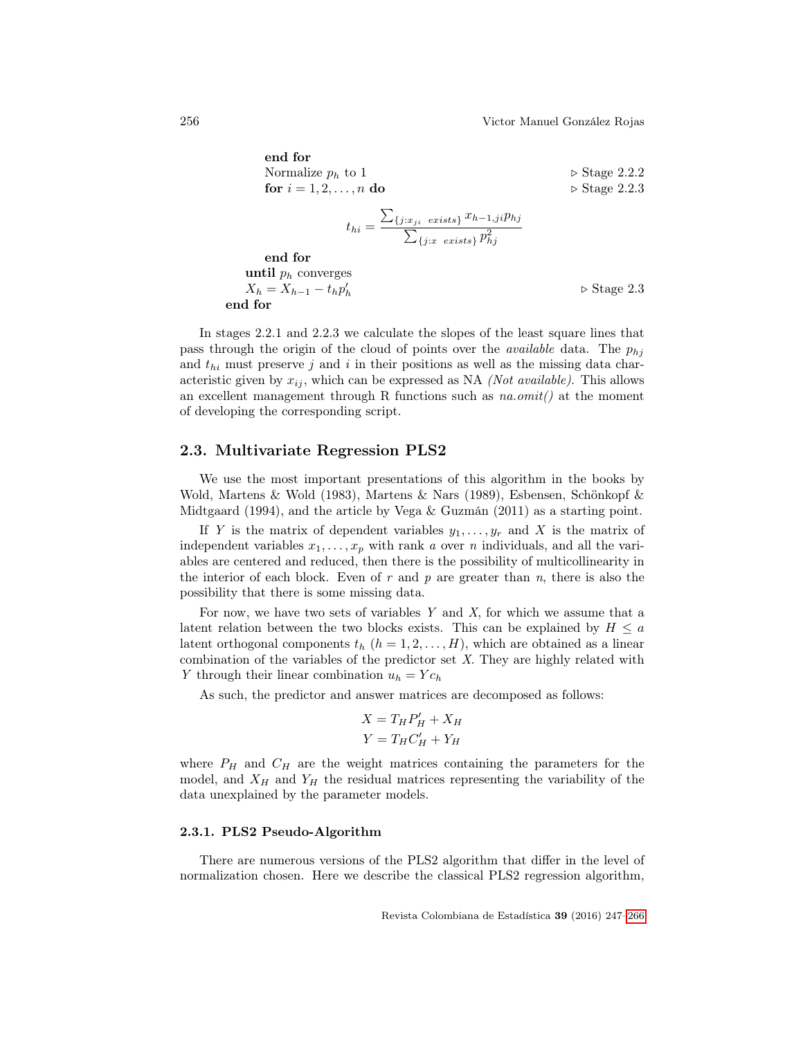end for Normalize  $p_h$  to 1  $\triangleright$  Stage 2.2.2<br> **for**  $i = 1, 2, ..., n$  **do**  $\triangleright$  Stage 2.2.3 for  $i = 1, 2, \ldots, n$  do  $t_{hi} =$  $\sum_{\{j:x_{ji} \text{ exists}\}} x_{h-1,j} p_{hj}$  $\sum_{\{j:x \ exists\}} p_{hj}^2$ end for until  $p_h$  converges  $X_h = X_{h-1} - t_h p'_h$  $\triangleright$  Stage 2.3 end for

In stages 2.2.1 and 2.2.3 we calculate the slopes of the least square lines that pass through the origin of the cloud of points over the *available* data. The  $p_{hi}$ and  $t_{hi}$  must preserve j and i in their positions as well as the missing data characteristic given by  $x_{ij}$ , which can be expressed as NA (Not available). This allows an excellent management through R functions such as  $na.omit()$  at the moment of developing the corresponding script.

## 2.3. Multivariate Regression PLS2

We use the most important presentations of this algorithm in the books by Wold, Martens & Wold (1983), Martens & Nars (1989), Esbensen, Schönkopf & Midtgaard (1994), and the article by Vega & Guzmán (2011) as a starting point.

If Y is the matrix of dependent variables  $y_1, \ldots, y_r$  and X is the matrix of independent variables  $x_1, \ldots, x_p$  with rank a over n individuals, and all the variables are centered and reduced, then there is the possibility of multicollinearity in the interior of each block. Even of  $r$  and  $p$  are greater than  $n$ , there is also the possibility that there is some missing data.

For now, we have two sets of variables  $Y$  and  $X$ , for which we assume that a latent relation between the two blocks exists. This can be explained by  $H \leq a$ latent orthogonal components  $t_h$   $(h = 1, 2, \ldots, H)$ , which are obtained as a linear combination of the variables of the predictor set X. They are highly related with Y through their linear combination  $u_h = Y c_h$ 

As such, the predictor and answer matrices are decomposed as follows:

$$
X = T_H P'_H + X_H
$$

$$
Y = T_H C'_H + Y_H
$$

where  $P_H$  and  $C_H$  are the weight matrices containing the parameters for the model, and  $X_H$  and  $Y_H$  the residual matrices representing the variability of the data unexplained by the parameter models.

#### 2.3.1. PLS2 Pseudo-Algorithm

There are numerous versions of the PLS2 algorithm that differ in the level of normalization chosen. Here we describe the classical PLS2 regression algorithm,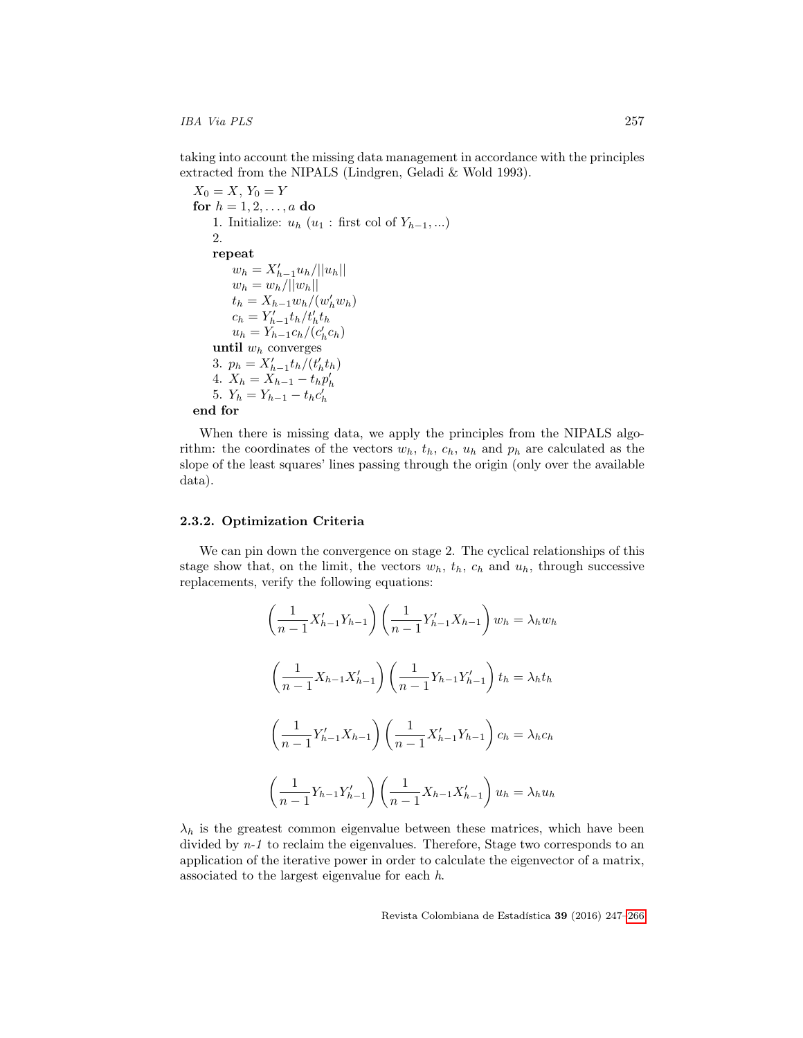## IBA Via PLS 257

taking into account the missing data management in accordance with the principles extracted from the NIPALS (Lindgren, Geladi & Wold 1993).

```
X_0 = X, Y_0 = Yfor h = 1, 2, ..., a do
    1. Initialize: u_h(u_1 : \text{first col of } Y_{h-1}, \ldots)2.
    repeat
          w_h = X'_{h-1}u_h/||u_h||w_h = w_h / ||w_h||t_h = X_{h-1} w_h / (w_h' w_h)c_h = Y'_{h-1} t_h / t'_h t_hu_h = Y_{h-1} c_h / (c'_h c_h)until w_h converges
     3. p_h = X'_{h-1} t_h / (t'_h t_h)4. X_h = X_{h-1} - t_h p'_h<br>5. Y_h = Y_{h-1} - t_h c'_hend for
```
When there is missing data, we apply the principles from the NIPALS algorithm: the coordinates of the vectors  $w_h$ ,  $t_h$ ,  $c_h$ ,  $u_h$  and  $p_h$  are calculated as the slope of the least squares' lines passing through the origin (only over the available data).

#### 2.3.2. Optimization Criteria

We can pin down the convergence on stage 2. The cyclical relationships of this stage show that, on the limit, the vectors  $w_h$ ,  $t_h$ ,  $c_h$  and  $u_h$ , through successive replacements, verify the following equations:

$$
\left(\frac{1}{n-1}X'_{h-1}Y_{h-1}\right)\left(\frac{1}{n-1}Y'_{h-1}X_{h-1}\right)w_h = \lambda_h w_h
$$
\n
$$
\left(\frac{1}{n-1}X_{h-1}X'_{h-1}\right)\left(\frac{1}{n-1}Y_{h-1}Y'_{h-1}\right)t_h = \lambda_h t_h
$$
\n
$$
\left(\frac{1}{n-1}Y'_{h-1}X_{h-1}\right)\left(\frac{1}{n-1}X'_{h-1}Y_{h-1}\right)c_h = \lambda_h c_h
$$
\n
$$
\left(\frac{1}{n-1}Y_{h-1}Y'_{h-1}\right)\left(\frac{1}{n-1}X_{h-1}X'_{h-1}\right)u_h = \lambda_h u_h
$$

 $\lambda_h$  is the greatest common eigenvalue between these matrices, which have been divided by  $n-1$  to reclaim the eigenvalues. Therefore, Stage two corresponds to an application of the iterative power in order to calculate the eigenvector of a matrix, associated to the largest eigenvalue for each h.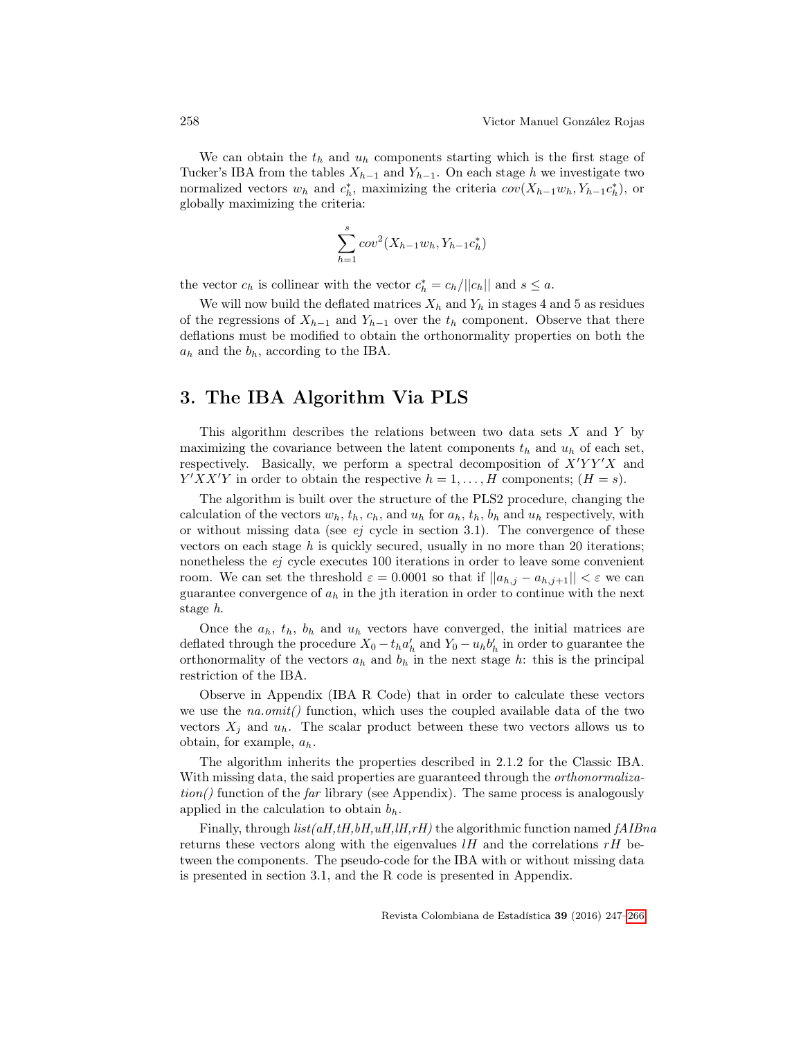We can obtain the  $t<sub>h</sub>$  and  $u<sub>h</sub>$  components starting which is the first stage of Tucker's IBA from the tables  $X_{h-1}$  and  $Y_{h-1}$ . On each stage h we investigate two normalized vectors  $w_h$  and  $c_h^*$ , maximizing the criteria  $cov(X_{h-1}w_h, Y_{h-1}c_h^*)$ , or globally maximizing the criteria:

$$
\sum_{h=1}^{s} cov^{2}(X_{h-1}w_h, Y_{h-1}c_h^*)
$$

the vector  $c_h$  is collinear with the vector  $c_h^* = c_h / ||c_h||$  and  $s \leq a$ .

We will now build the deflated matrices  $X_h$  and  $Y_h$  in stages 4 and 5 as residues of the regressions of  $X_{h-1}$  and  $Y_{h-1}$  over the  $t_h$  component. Observe that there deflations must be modified to obtain the orthonormality properties on both the  $a_h$  and the  $b_h$ , according to the IBA.

## 3. The IBA Algorithm Via PLS

This algorithm describes the relations between two data sets X and Y by maximizing the covariance between the latent components  $t<sub>h</sub>$  and  $u<sub>h</sub>$  of each set, respectively. Basically, we perform a spectral decomposition of  $X'YY'X$  and  $Y'XX'Y$  in order to obtain the respective  $h = 1, \ldots, H$  components;  $(H = s)$ .

The algorithm is built over the structure of the PLS2 procedure, changing the calculation of the vectors  $w_h$ ,  $t_h$ ,  $c_h$ , and  $u_h$  for  $a_h$ ,  $t_h$ ,  $b_h$  and  $u_h$  respectively, with or without missing data (see  $ej$  cycle in section 3.1). The convergence of these vectors on each stage  $h$  is quickly secured, usually in no more than 20 iterations; nonetheless the ej cycle executes 100 iterations in order to leave some convenient room. We can set the threshold  $\varepsilon = 0.0001$  so that if  $||a_{h,j} - a_{h,j+1}|| < \varepsilon$  we can guarantee convergence of  $a_h$  in the jth iteration in order to continue with the next stage h.

Once the  $a_h$ ,  $t_h$ ,  $b_h$  and  $u_h$  vectors have converged, the initial matrices are deflated through the procedure  $X_0 - t_h a'_h$  and  $Y_0 - u_h b'_h$  in order to guarantee the orthonormality of the vectors  $a_h$  and  $b_h$  in the next stage h: this is the principal restriction of the IBA.

Observe in Appendix (IBA R Code) that in order to calculate these vectors we use the  $na.omit()$  function, which uses the coupled available data of the two vectors  $X_j$  and  $u_h$ . The scalar product between these two vectors allows us to obtain, for example,  $a_h$ .

The algorithm inherits the properties described in 2.1.2 for the Classic IBA. With missing data, the said properties are guaranteed through the *orthonormaliza* $tion()$  function of the *far* library (see Appendix). The same process is analogously applied in the calculation to obtain  $b<sub>b</sub>$ .

Finally, through  $list(aH, tH, bH, uH, tH, rH)$  the algorithmic function named  $fAIBna$ returns these vectors along with the eigenvalues  $l$ H and the correlations  $r$ H between the components. The pseudo-code for the IBA with or without missing data is presented in section 3.1, and the R code is presented in Appendix.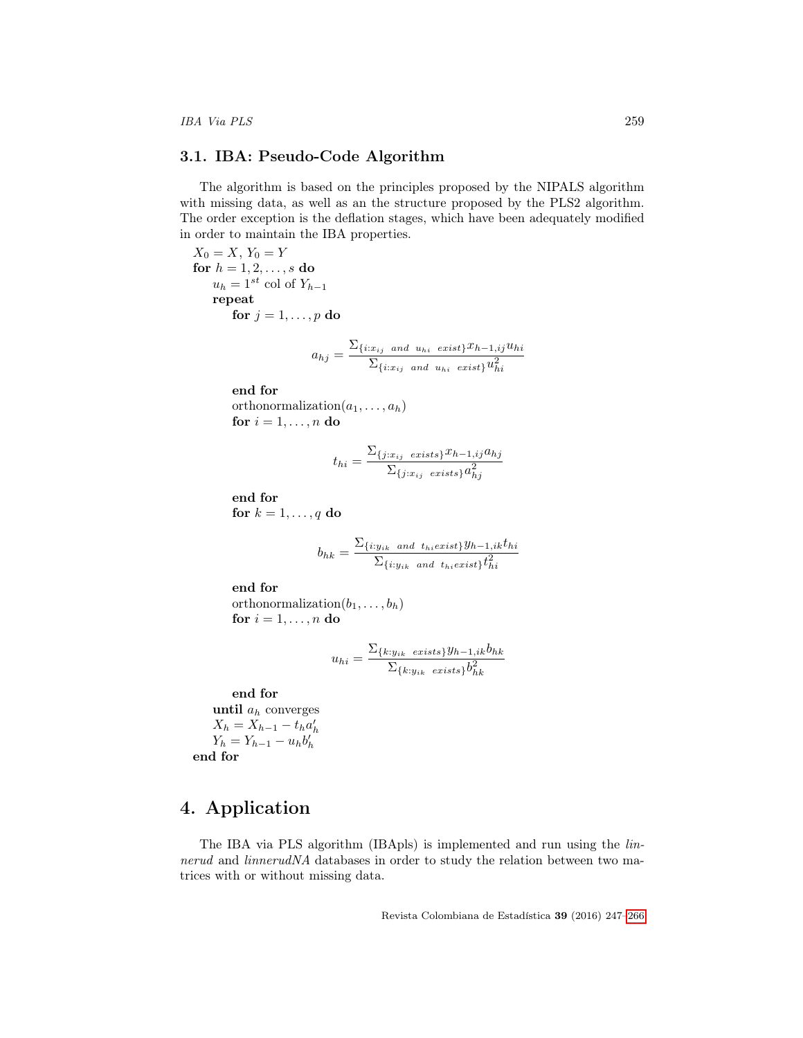### 3.1. IBA: Pseudo-Code Algorithm

The algorithm is based on the principles proposed by the NIPALS algorithm with missing data, as well as an the structure proposed by the PLS2 algorithm. The order exception is the deflation stages, which have been adequately modified in order to maintain the IBA properties.

 $X_0 = X, Y_0 = Y$ for  $h = 1, 2, ..., s$  do  $u_h = 1^{st}$  col of  $Y_{h-1}$ repeat for  $j = 1, \ldots, p$  do

$$
a_{hj} = \frac{\sum_{\{i:x_{ij} \text{ and } u_{hi} \text{ exist}\}} x_{h-1,ij} u_{hi}}{\sum_{\{i:x_{ij} \text{ and } u_{hi} \text{ exist}\}} u_{hi}^2}
$$

end for

orthonormalization $(a_1, \ldots, a_h)$ for  $i = 1, \ldots, n$  do

$$
t_{hi} = \frac{\sum_{\{j:x_{ij} \text{ exists}\}} x_{h-1,ij} a_{hj}}{\sum_{\{j:x_{ij} \text{ exists}\}} a_{hj}^2}
$$

end for for  $k = 1, \ldots, q$  do

$$
b_{hk} = \frac{\sum_{\{i: y_{ik} \text{ and } t_{hi} \in xist\}} y_{h-1,ik} t_{hi}}{\sum_{\{i: y_{ik} \text{ and } t_{hi} \in xist\}} t_{hi}^2}
$$

end for orthonormalization $(b_1, \ldots, b_h)$ for  $i = 1, \ldots, n$  do

$$
u_{hi} = \frac{\sum_{\{k: y_{ik} \text{ exists}\}} y_{h-1,ik} b_{hk}}{\sum_{\{k: y_{ik} \text{ exists}\}} b_{hk}^2}
$$

end for

until  $a_h$  converges  $X_h = X_{h-1} - t_h a'_h$  $Y_h = Y_{h-1} - u_h b'_h$ end for

## 4. Application

The IBA via PLS algorithm (IBApls) is implemented and run using the linnerud and linnerudNA databases in order to study the relation between two matrices with or without missing data.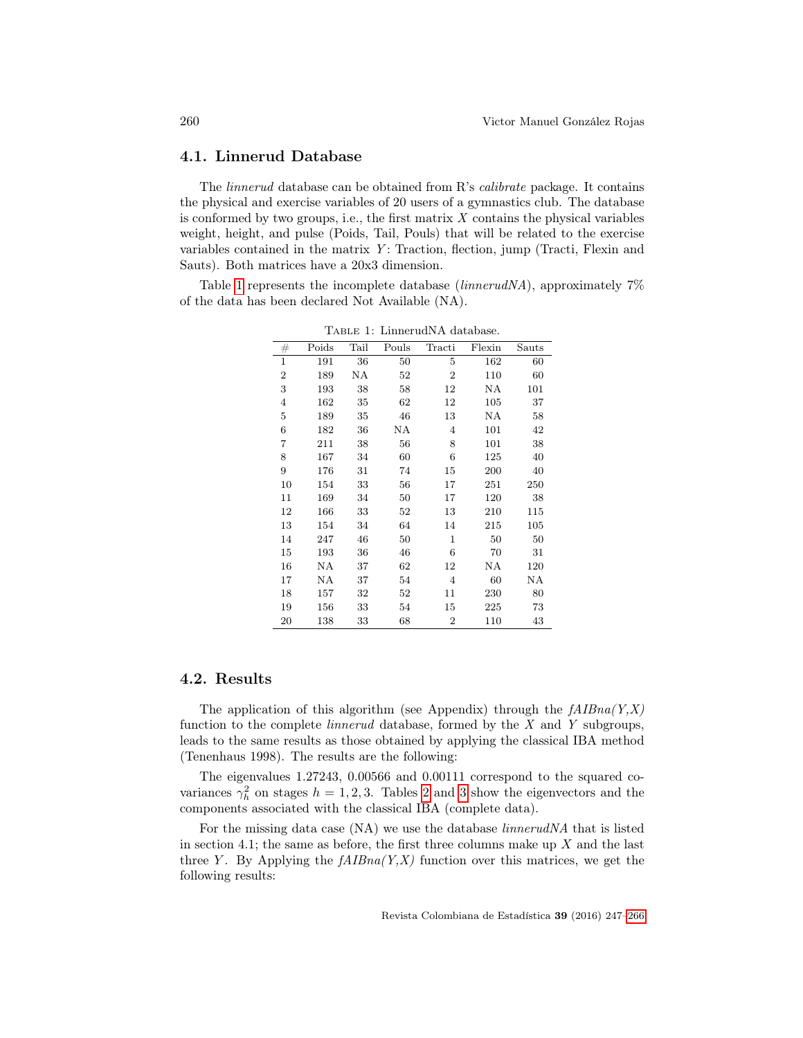### 4.1. Linnerud Database

The linnerud database can be obtained from R's calibrate package. It contains the physical and exercise variables of 20 users of a gymnastics club. The database is conformed by two groups, i.e., the first matrix  $X$  contains the physical variables weight, height, and pulse (Poids, Tail, Pouls) that will be related to the exercise variables contained in the matrix  $Y$ : Traction, flection, jump (Tracti, Flexin and Sauts). Both matrices have a 20x3 dimension.

Table [1](#page-13-0) represents the incomplete database (linnerudNA), approximately 7% of the data has been declared Not Available (NA).

| #                | Poids | Tail | Pouls | Tracti         | Flexin | Sauts |
|------------------|-------|------|-------|----------------|--------|-------|
| $\mathbf{1}$     | 191   | 36   | 50    | 5              | 162    | 60    |
| $\boldsymbol{2}$ | 189   | ΝA   | 52    | $\overline{2}$ | 110    | 60    |
| 3                | 193   | 38   | 58    | 12             | ΝA     | 101   |
| 4                | 162   | 35   | 62    | 12             | 105    | 37    |
| 5                | 189   | 35   | 46    | 13             | ΝA     | 58    |
| 6                | 182   | 36   | ΝA    | 4              | 101    | 42    |
| 7                | 211   | 38   | 56    | 8              | 101    | 38    |
| 8                | 167   | 34   | 60    | 6              | 125    | 40    |
| 9                | 176   | 31   | 74    | 15             | 200    | 40    |
| 10               | 154   | 33   | 56    | 17             | 251    | 250   |
| $11\,$           | 169   | 34   | 50    | 17             | 120    | 38    |
| 12               | 166   | 33   | 52    | 13             | 210    | 115   |
| 13               | 154   | 34   | 64    | 14             | 215    | 105   |
| 14               | 247   | 46   | 50    | $\mathbf{1}$   | 50     | 50    |
| 15               | 193   | 36   | 46    | 6              | 70     | 31    |
| 16               | ΝA    | 37   | 62    | 12             | ΝA     | 120   |
| 17               | ΝA    | 37   | 54    | 4              | 60     | ΝA    |
| 18               | 157   | 32   | 52    | 11             | 230    | 80    |
| 19               | 156   | 33   | 54    | 15             | 225    | 73    |
| 20               | 138   | 33   | 68    | $\overline{2}$ | 110    | 43    |

<span id="page-13-0"></span>Table 1: LinnerudNA database.

## 4.2. Results

The application of this algorithm (see Appendix) through the  $fAIBna(Y,X)$ function to the complete linnerud database, formed by the X and Y subgroups, leads to the same results as those obtained by applying the classical IBA method (Tenenhaus 1998). The results are the following:

The eigenvalues 1.27243, 0.00566 and 0.00111 correspond to the squared covariances  $\gamma_h^2$  on stages  $h = 1, 2, 3$  $h = 1, 2, 3$  $h = 1, 2, 3$  $h = 1, 2, 3$ . Tables 2 and 3 show the eigenvectors and the components associated with the classical IBA (complete data).

For the missing data case (NA) we use the database linnerudNA that is listed in section 4.1; the same as before, the first three columns make up  $X$  and the last three Y. By Applying the  $fAIBna(Y,X)$  function over this matrices, we get the following results: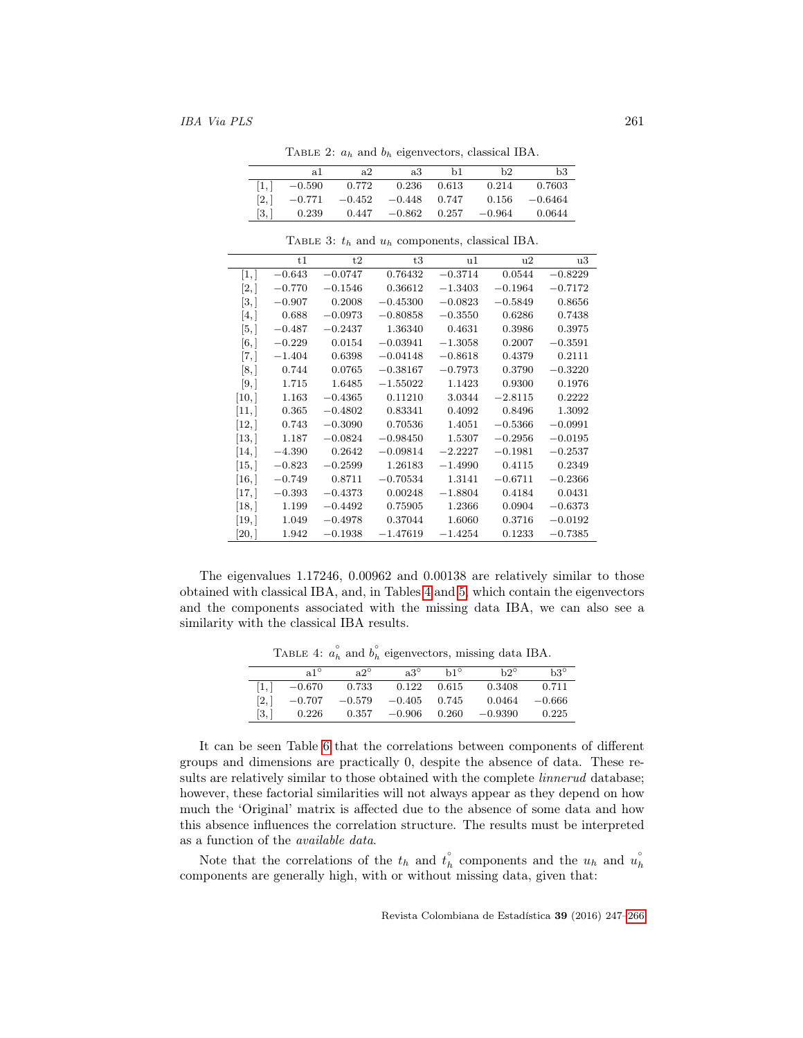$\overline{a}$ 

<span id="page-14-0"></span>

|                    | TABLE 2: $a_h$ and $b_h$ eigenvectors, classical IBA. |          |                      |     |          |           |  |  |
|--------------------|-------------------------------------------------------|----------|----------------------|-----|----------|-----------|--|--|
|                    | a1                                                    | a2       | a3                   | Ъ1. | h2.      | b3        |  |  |
| 1,                 | $-0.590$                                              | 0.772    | 0.236 0.613          |     | 0.214    | 0.7603    |  |  |
| $\left[2, \right]$ | $-0.771$                                              | $-0.452$ | $-0.448$ 0.747       |     | 0.156    | $-0.6464$ |  |  |
| [3, 1]             | 0.239                                                 |          | $0.447 -0.862 0.257$ |     | $-0.964$ | 0.0644    |  |  |

|                     | t1       | t2        | t3         | u1        | u2        | u3        |
|---------------------|----------|-----------|------------|-----------|-----------|-----------|
| [1,]                | $-0.643$ | $-0.0747$ | 0.76432    | $-0.3714$ | 0.0544    | $-0.8229$ |
| [2,]                | $-0.770$ | $-0.1546$ | 0.36612    | $-1.3403$ | $-0.1964$ | $-0.7172$ |
| [3, ]               | $-0.907$ | 0.2008    | $-0.45300$ | $-0.0823$ | $-0.5849$ | 0.8656    |
| [4,]                | 0.688    | $-0.0973$ | $-0.80858$ | $-0.3550$ | 0.6286    | 0.7438    |
| [5,]                | $-0.487$ | $-0.2437$ | 1.36340    | 0.4631    | 0.3986    | 0.3975    |
| [6, ]               | $-0.229$ | 0.0154    | $-0.03941$ | $-1.3058$ | 0.2007    | $-0.3591$ |
| $\lceil 7, \rceil$  | $-1.404$ | 0.6398    | $-0.04148$ | $-0.8618$ | 0.4379    | 0.2111    |
| [8, ]               | 0.744    | 0.0765    | $-0.38167$ | $-0.7973$ | 0.3790    | $-0.3220$ |
| [9,                 | 1.715    | 1.6485    | $-1.55022$ | 1.1423    | 0.9300    | 0.1976    |
| $\left[10, \right]$ | 1.163    | $-0.4365$ | 0.11210    | 3.0344    | $-2.8115$ | 0.2222    |
| [11,                | 0.365    | $-0.4802$ | 0.83341    | 0.4092    | 0.8496    | 1.3092    |
| [12, 1]             | 0.743    | $-0.3090$ | 0.70536    | 1.4051    | $-0.5366$ | $-0.0991$ |
| $\left[13, \right]$ | 1.187    | $-0.0824$ | $-0.98450$ | 1.5307    | $-0.2956$ | $-0.0195$ |
| $\left[14, \right]$ | $-4.390$ | 0.2642    | $-0.09814$ | $-2.2227$ | $-0.1981$ | $-0.2537$ |
| [15,]               | $-0.823$ | $-0.2599$ | 1.26183    | $-1.4990$ | 0.4115    | 0.2349    |
| $\left[16, \right]$ | $-0.749$ | 0.8711    | $-0.70534$ | 1.3141    | $-0.6711$ | $-0.2366$ |
| [17,]               | $-0.393$ | $-0.4373$ | 0.00248    | $-1.8804$ | 0.4184    | 0.0431    |
| $\left[18, \right]$ | 1.199    | $-0.4492$ | 0.75905    | 1.2366    | 0.0904    | $-0.6373$ |
| $\left[19, \right]$ | 1.049    | $-0.4978$ | 0.37044    | 1.6060    | 0.3716    | $-0.0192$ |
| 20, l               | 1.942    | $-0.1938$ | $-1.47619$ | $-1.4254$ | 0.1233    | $-0.7385$ |

<span id="page-14-1"></span>TABLE 3:  $t_h$  and  $u_h$  components, classical IBA.

The eigenvalues 1.17246, 0.00962 and 0.00138 are relatively similar to those obtained with classical IBA, and, in Tables [4](#page-14-2) and [5,](#page-15-0) which contain the eigenvectors and the components associated with the missing data IBA, we can also see a similarity with the classical IBA results.

<span id="page-14-2"></span>TABLE 4:  $a_h^{\circ}$  and  $b_h^{\circ}$  eigenvectors, missing data IBA.

|       |              |              | $\cdots$     |              |              |              |
|-------|--------------|--------------|--------------|--------------|--------------|--------------|
|       | $a1^{\circ}$ | $a2^{\circ}$ | $a3^{\circ}$ | $h1^{\circ}$ | $h2^{\circ}$ | $b3^{\circ}$ |
| 11,   | $-0.670$     | 0.733        | 0.122        | 0.615        | 0.3408       | 0.711        |
| [2,1] | $-0.707$     | $-0.579$     | $-0.405$     | 0.745        | 0.0464       | $-0.666$     |
| [3,   | 0.226        | 0.357        | $-0.906$     | 0.260        | $-0.9390$    | 0.225        |
|       |              |              |              |              |              |              |

It can be seen Table [6](#page-15-1) that the correlations between components of different groups and dimensions are practically 0, despite the absence of data. These results are relatively similar to those obtained with the complete *linnerud* database; however, these factorial similarities will not always appear as they depend on how much the 'Original' matrix is affected due to the absence of some data and how this absence influences the correlation structure. The results must be interpreted as a function of the available data.

Note that the correlations of the  $t_h$  and  $t_h^{\circ}$  components and the  $u_h$  and  $\hat{u_h}$ components are generally high, with or without missing data, given that: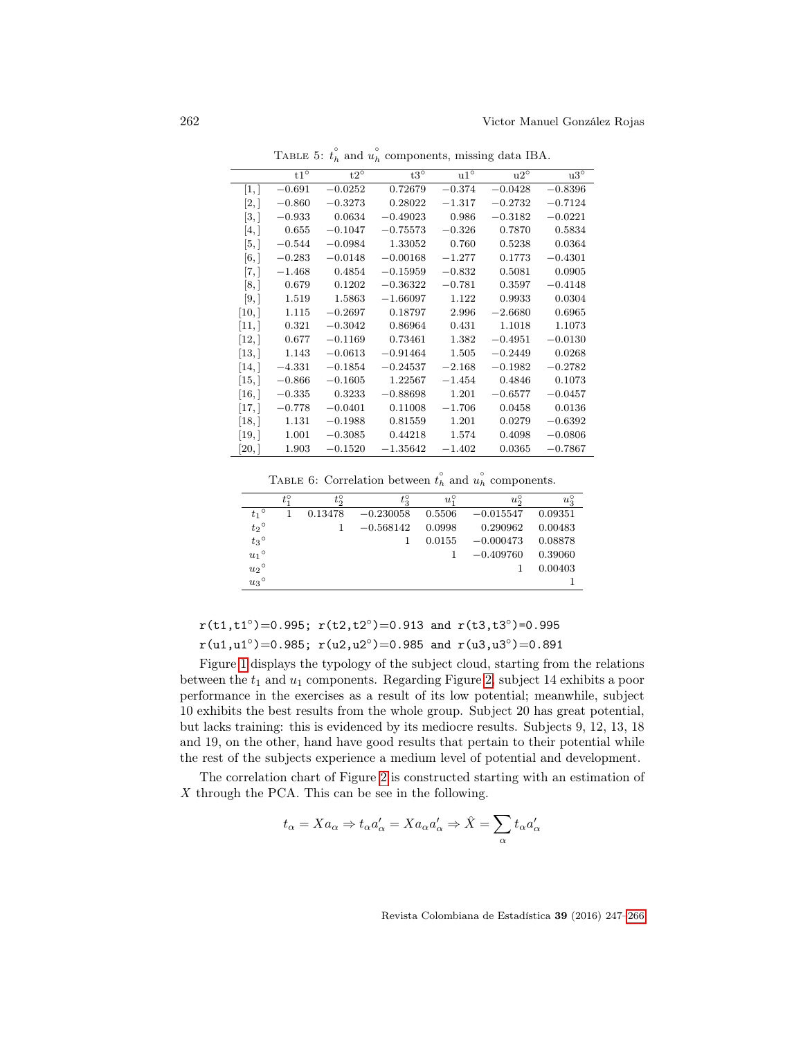|                     | $t1^{\circ}$ | $t2^{\circ}$ | $t3^{\circ}$ | $u1^{\circ}$ | $u2^{\circ}$ | $\rm u3^{\circ}$ |
|---------------------|--------------|--------------|--------------|--------------|--------------|------------------|
| [1,                 | $-0.691$     | $-0.0252$    | 0.72679      | $-0.374$     | $-0.0428$    | $-0.8396$        |
| [2,]                | $-0.860$     | $-0.3273$    | 0.28022      | $-1.317$     | $-0.2732$    | $-0.7124$        |
| [3,]                | $-0.933$     | 0.0634       | $-0.49023$   | 0.986        | $-0.3182$    | $-0.0221$        |
| [4,]                | 0.655        | $-0.1047$    | $-0.75573$   | $-0.326$     | 0.7870       | 0.5834           |
| [5,]                | $-0.544$     | $-0.0984$    | 1.33052      | 0.760        | 0.5238       | 0.0364           |
| [6, 1]              | $-0.283$     | $-0.0148$    | $-0.00168$   | $-1.277$     | 0.1773       | $-0.4301$        |
| 7,                  | $-1.468$     | 0.4854       | $-0.15959$   | $-0.832$     | 0.5081       | 0.0905           |
| [8, 1]              | 0.679        | 0.1202       | $-0.36322$   | $-0.781$     | 0.3597       | $-0.4148$        |
| [9, 1]              | 1.519        | 1.5863       | $-1.66097$   | 1.122        | 0.9933       | 0.0304           |
| [10,                | 1.115        | $-0.2697$    | 0.18797      | 2.996        | $-2.6680$    | 0.6965           |
| [11,                | 0.321        | $-0.3042$    | 0.86964      | 0.431        | 1.1018       | 1.1073           |
| [12,                | 0.677        | $-0.1169$    | 0.73461      | 1.382        | $-0.4951$    | $-0.0130$        |
| $\left[13, \right]$ | 1.143        | $-0.0613$    | $-0.91464$   | 1.505        | $-0.2449$    | 0.0268           |
| $\lceil 14, \rceil$ | $-4.331$     | $-0.1854$    | $-0.24537$   | $-2.168$     | $-0.1982$    | $-0.2782$        |
| [15, ]              | $-0.866$     | $-0.1605$    | 1.22567      | $-1.454$     | 0.4846       | 0.1073           |
| $\lceil 16, \rceil$ | $-0.335$     | 0.3233       | $-0.88698$   | 1.201        | $-0.6577$    | $-0.0457$        |
| $\left[17,\right]$  | $-0.778$     | $-0.0401$    | 0.11008      | $-1.706$     | 0.0458       | 0.0136           |
| $\lceil 18, \rceil$ | 1.131        | $-0.1988$    | 0.81559      | 1.201        | 0.0279       | $-0.6392$        |
| $\left[19, \right]$ | 1.001        | $-0.3085$    | 0.44218      | 1.574        | 0.4098       | $-0.0806$        |
| [20, 1]             | 1.903        | $-0.1520$    | $-1.35642$   | $-1.402$     | 0.0365       | $-0.7867$        |

<span id="page-15-0"></span>TABLE 5:  $t_h^{\circ}$  and  $u_h^{\circ}$  components, missing data IBA.

<span id="page-15-1"></span>TABLE 6: Correlation between  $t_h^{\circ}$  and  $u_h^{\circ}$  components.

|                 | $t_{1}^{\circ}$ | $t_{\alpha}^{\circ}$ | $t_3^{\circ}$ | $u_{\pi}^{\circ}$ | $u_{\alpha}^{\circ}$ | $u_3^{\circ}$ |
|-----------------|-----------------|----------------------|---------------|-------------------|----------------------|---------------|
| $t_1$ °         |                 | 0.13478              | $-0.230058$   | 0.5506            | $-0.015547$          | 0.09351       |
| $t_2$ °         |                 |                      | $-0.568142$   | 0.0998            | 0.290962             | 0.00483       |
| $t_3$ °         |                 |                      |               | 0.0155            | $-0.000473$          | 0.08878       |
| $u_1$ °         |                 |                      |               |                   | $-0.409760$          | 0.39060       |
| ${u_2}^{\circ}$ |                 |                      |               |                   |                      | 0.00403       |
| ${u_3}^\circ$   |                 |                      |               |                   |                      |               |
|                 |                 |                      |               |                   |                      |               |

 $r(t1,t1°)=0.995; r(t2,t2°)=0.913$  and  $r(t3,t3°)=0.995$  $r(u1, u1°)=0.985$ ;  $r(u2, u2°)=0.985$  and  $r(u3, u3°)=0.891$ 

Figure [1](#page-16-0) displays the typology of the subject cloud, starting from the relations between the  $t_1$  and  $u_1$  components. Regarding Figure [2,](#page-16-1) subject 14 exhibits a poor performance in the exercises as a result of its low potential; meanwhile, subject 10 exhibits the best results from the whole group. Subject 20 has great potential, but lacks training: this is evidenced by its mediocre results. Subjects 9, 12, 13, 18 and 19, on the other, hand have good results that pertain to their potential while the rest of the subjects experience a medium level of potential and development.

The correlation chart of Figure [2](#page-16-1) is constructed starting with an estimation of  $X$  through the PCA. This can be see in the following.

$$
t_{\alpha} = X a_{\alpha} \Rightarrow t_{\alpha} a_{\alpha}' = X a_{\alpha} a_{\alpha}' \Rightarrow \hat{X} = \sum_{\alpha} t_{\alpha} a_{\alpha}'
$$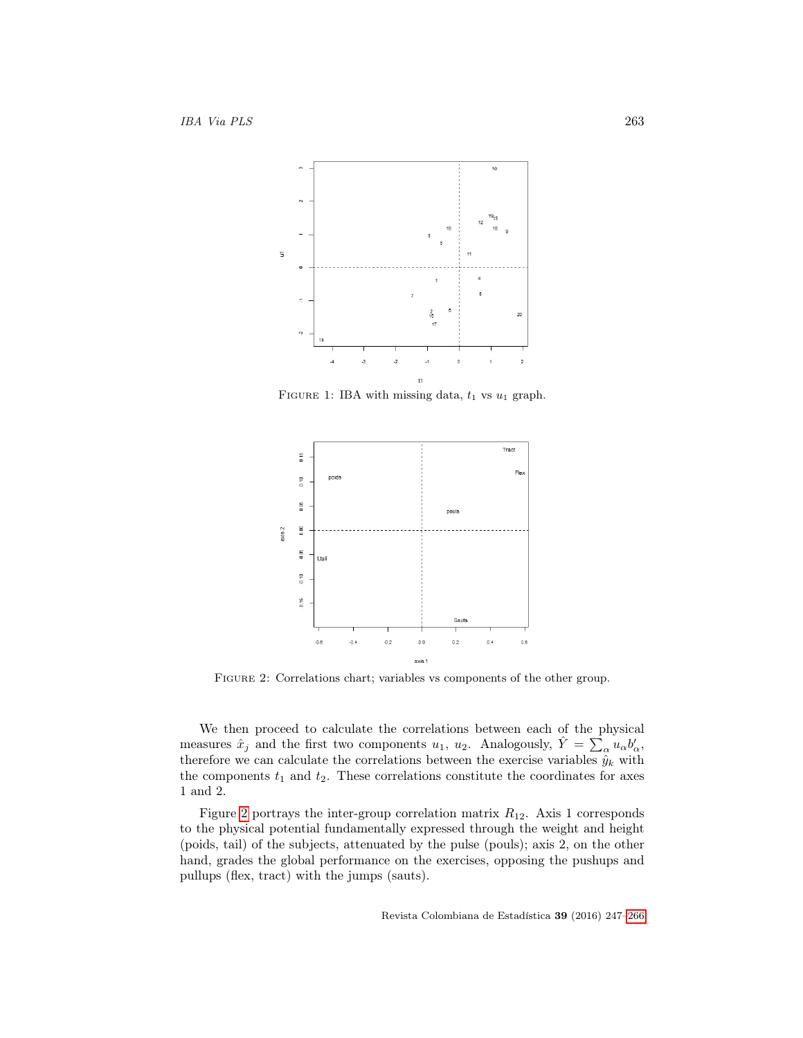

<span id="page-16-0"></span>FIGURE 1: IBA with missing data,  $t_1$  vs  $u_1$  graph.



<span id="page-16-1"></span>Figure 2: Correlations chart; variables vs components of the other group.

We then proceed to calculate the correlations between each of the physical measures  $\hat{x}_j$  and the first two components  $u_1, u_2$ . Analogously,  $\hat{Y} = \sum_{\alpha} u_{\alpha} b'_{\alpha}$ , therefore we can calculate the correlations between the exercise variables  $\hat{y}_k$  with the components  $t_1$  and  $t_2$ . These correlations constitute the coordinates for axes 1 and 2.

Figure [2](#page-16-1) portrays the inter-group correlation matrix  $R_{12}$ . Axis 1 corresponds to the physical potential fundamentally expressed through the weight and height (poids, tail) of the subjects, attenuated by the pulse (pouls); axis 2, on the other hand, grades the global performance on the exercises, opposing the pushups and pullups (flex, tract) with the jumps (sauts).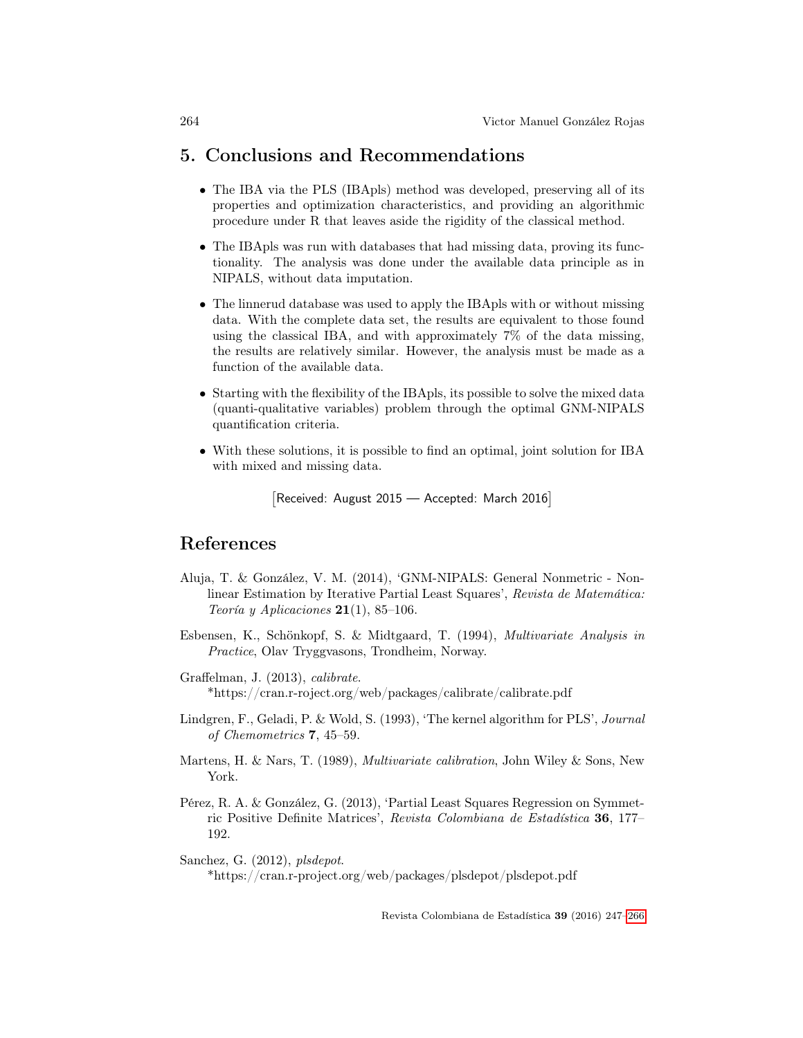## 5. Conclusions and Recommendations

- The IBA via the PLS (IBApls) method was developed, preserving all of its properties and optimization characteristics, and providing an algorithmic procedure under R that leaves aside the rigidity of the classical method.
- The IBApls was run with databases that had missing data, proving its functionality. The analysis was done under the available data principle as in NIPALS, without data imputation.
- The linnerud database was used to apply the IBApls with or without missing data. With the complete data set, the results are equivalent to those found using the classical IBA, and with approximately 7% of the data missing, the results are relatively similar. However, the analysis must be made as a function of the available data.
- Starting with the flexibility of the IBApls, its possible to solve the mixed data (quanti-qualitative variables) problem through the optimal GNM-NIPALS quantification criteria.
- With these solutions, it is possible to find an optimal, joint solution for IBA with mixed and missing data.

Received: August 2015 - Accepted: March 2016]

## References

- Aluja, T. & González, V. M. (2014), 'GNM-NIPALS: General Nonmetric Nonlinear Estimation by Iterative Partial Least Squares', Revista de Matemática: Teoría y Aplicaciones  $21(1)$ , 85-106.
- Esbensen, K., Schönkopf, S. & Midtgaard, T. (1994), Multivariate Analysis in Practice, Olav Tryggvasons, Trondheim, Norway.
- Graffelman, J. (2013), calibrate. \*https://cran.r-roject.org/web/packages/calibrate/calibrate.pdf
- Lindgren, F., Geladi, P. & Wold, S. (1993), 'The kernel algorithm for PLS', Journal of Chemometrics 7, 45–59.
- Martens, H. & Nars, T. (1989), Multivariate calibration, John Wiley & Sons, New York.
- Pérez, R. A. & González, G. (2013), 'Partial Least Squares Regression on Symmetric Positive Definite Matrices', Revista Colombiana de Estadística 36, 177– 192.

Sanchez, G. (2012), plsdepot. \*https://cran.r-project.org/web/packages/plsdepot/plsdepot.pdf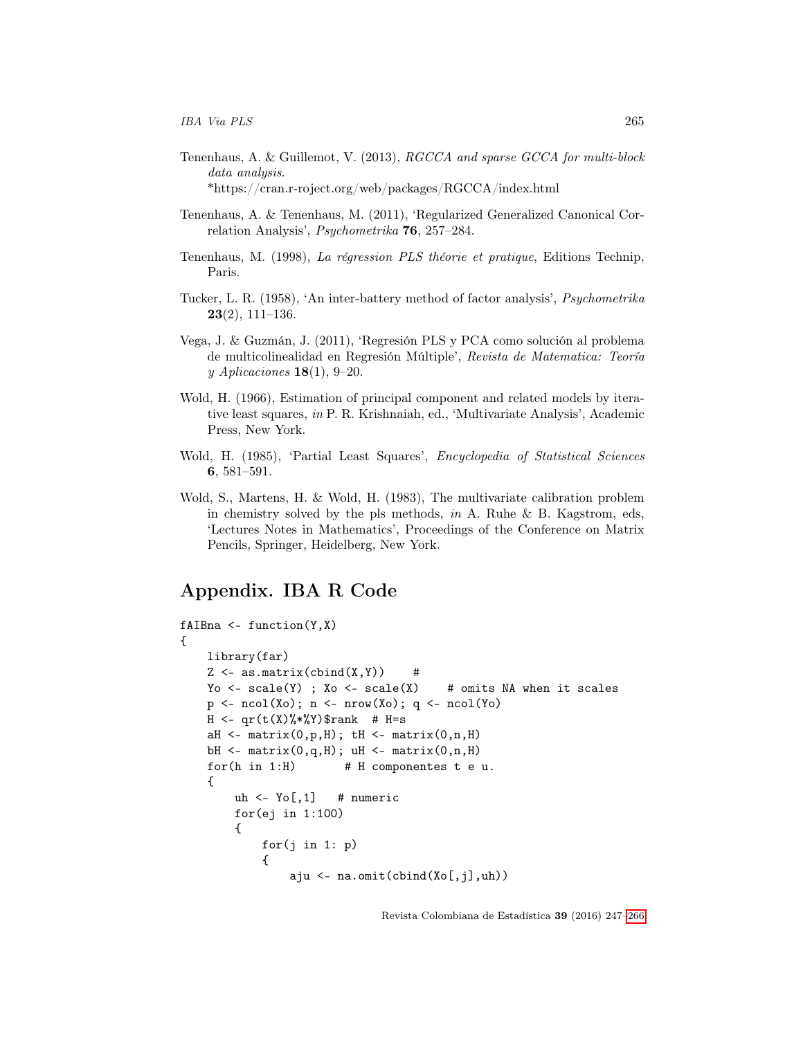- Tenenhaus, A. & Guillemot, V. (2013), RGCCA and sparse GCCA for multi-block data analysis. \*https://cran.r-roject.org/web/packages/RGCCA/index.html
- Tenenhaus, A. & Tenenhaus, M. (2011), 'Regularized Generalized Canonical Correlation Analysis', Psychometrika 76, 257–284.
- Tenenhaus, M. (1998), La régression PLS théorie et pratique, Editions Technip, Paris.
- Tucker, L. R. (1958), 'An inter-battery method of factor analysis', Psychometrika  $23(2)$ , 111–136.
- Vega, J. & Guzmán, J. (2011), 'Regresión PLS y PCA como solución al problema de multicolinealidad en Regresión Múltiple', Revista de Matematica: Teoría y Aplicaciones  $18(1)$ , 9-20.
- Wold, H. (1966), Estimation of principal component and related models by iterative least squares, in P. R. Krishnaiah, ed., 'Multivariate Analysis', Academic Press, New York.
- Wold, H. (1985), 'Partial Least Squares', Encyclopedia of Statistical Sciences 6, 581–591.
- Wold, S., Martens, H. & Wold, H. (1983), The multivariate calibration problem in chemistry solved by the pls methods, in A. Ruhe & B. Kagstrom, eds, 'Lectures Notes in Mathematics', Proceedings of the Conference on Matrix Pencils, Springer, Heidelberg, New York.

## <span id="page-18-0"></span>Appendix. IBA R Code

```
fAIBna \leftarrow function(Y, X){
    library(far)
    Z \leftarrow as.matrix(cbind(X,Y)) #
    Yo \leq scale(Y) ; Xo \leq scale(X) \qquad # omits NA when it scales
    p \leftarrow \text{ncol}(Xo); n \leftarrow \text{nrow}(Xo); q \leftarrow \text{ncol}(Yo)H \leq -qr(t(X)\frac{N}{N*}Y)$rank # H=s
    aH \leftarrow matrix(0, p, H); tH \leftarrow matrix(0, n, H)bH \leftarrow matrix(0,q,H); uH \leftarrow matrix(0,n,H)for(h in 1:H) # H componentes t e u.
    {
          uh \leq Yo[,1] # numeric
          for(ej in 1:100)
          {
               for(j in 1: p){
                    aju <- na.omit(cbind(Xo[,j],uh))
```